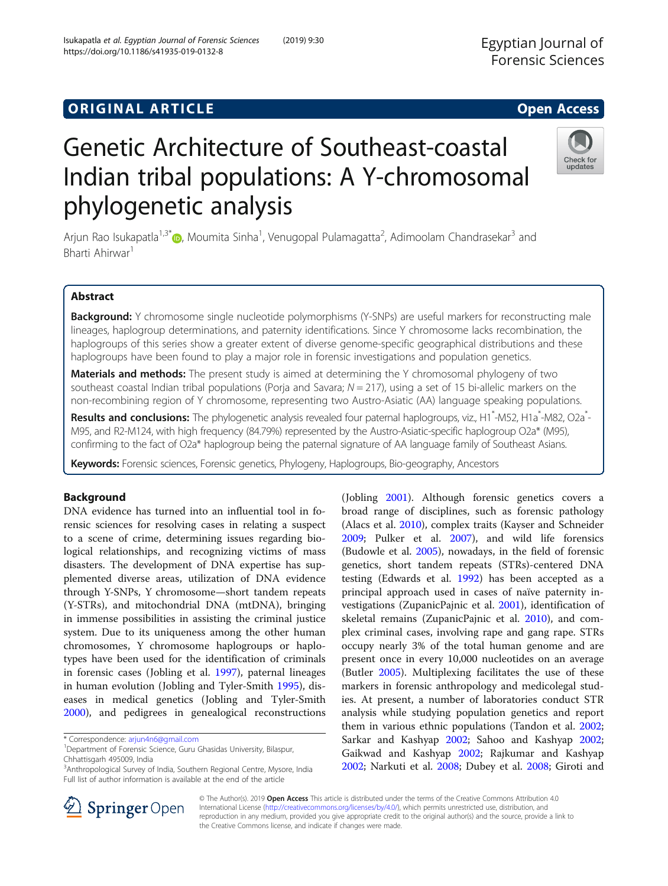# **ORIGINAL ARTICLE CONSERVANCE IN A LOCAL CONSERVANCE IN A LOCAL CONSERVANCE IN A LOCAL CONSERVANCE IN A LOCAL CONS**

# Genetic Architecture of Southeast-coastal Indian tribal populations: A Y-chromosomal phylogenetic analysis

Arjun Rao Isukapatla<sup>1,3[\\*](http://orcid.org/0000-0003-1605-468X)</sup>®, Moumita Sinha<sup>1</sup>, Venugopal Pulamagatta<sup>2</sup>, Adimoolam Chandrasekar<sup>3</sup> and Bharti Ahirwar<sup>1</sup>

# Abstract

Background: Y chromosome single nucleotide polymorphisms (Y-SNPs) are useful markers for reconstructing male lineages, haplogroup determinations, and paternity identifications. Since Y chromosome lacks recombination, the haplogroups of this series show a greater extent of diverse genome-specific geographical distributions and these haplogroups have been found to play a major role in forensic investigations and population genetics.

**Materials and methods:** The present study is aimed at determining the Y chromosomal phylogeny of two southeast coastal Indian tribal populations (Porja and Savara;  $N = 217$ ), using a set of 15 bi-allelic markers on the non-recombining region of Y chromosome, representing two Austro-Asiatic (AA) language speaking populations.

Results and conclusions: The phylogenetic analysis revealed four paternal haplogroups, viz., H1<sup>\*</sup>-M52, H1a<sup>\*</sup>-M82, O2a<sup>\*</sup>-M95, and R2-M124, with high frequency (84.79%) represented by the Austro-Asiatic-specific haplogroup O2a\* (M95), confirming to the fact of O2a\* haplogroup being the paternal signature of AA language family of Southeast Asians.

Keywords: Forensic sciences, Forensic genetics, Phylogeny, Haplogroups, Bio-geography, Ancestors

## Background

DNA evidence has turned into an influential tool in forensic sciences for resolving cases in relating a suspect to a scene of crime, determining issues regarding biological relationships, and recognizing victims of mass disasters. The development of DNA expertise has supplemented diverse areas, utilization of DNA evidence through Y-SNPs, Y chromosome—short tandem repeats (Y-STRs), and mitochondrial DNA (mtDNA), bringing in immense possibilities in assisting the criminal justice system. Due to its uniqueness among the other human chromosomes, Y chromosome haplogroups or haplotypes have been used for the identification of criminals in forensic cases (Jobling et al. [1997](#page-6-0)), paternal lineages in human evolution (Jobling and Tyler-Smith [1995\)](#page-6-0), diseases in medical genetics (Jobling and Tyler-Smith [2000](#page-6-0)), and pedigrees in genealogical reconstructions

\* Correspondence: [arjun4n6@gmail.com](mailto:arjun4n6@gmail.com) <sup>1</sup>

<sup>3</sup> Anthropological Survey of India, Southern Regional Centre, Mysore, India Full list of author information is available at the end of the article

> © The Author(s). 2019 Open Access This article is distributed under the terms of the Creative Commons Attribution 4.0 International License ([http://creativecommons.org/licenses/by/4.0/\)](http://creativecommons.org/licenses/by/4.0/), which permits unrestricted use, distribution, and reproduction in any medium, provided you give appropriate credit to the original author(s) and the source, provide a link to the Creative Commons license, and indicate if changes were made.

(Jobling [2001\)](#page-6-0). Although forensic genetics covers a broad range of disciplines, such as forensic pathology (Alacs et al. [2010\)](#page-6-0), complex traits (Kayser and Schneider [2009](#page-6-0); Pulker et al. [2007\)](#page-6-0), and wild life forensics (Budowle et al. [2005\)](#page-6-0), nowadays, in the field of forensic genetics, short tandem repeats (STRs)-centered DNA testing (Edwards et al. [1992](#page-6-0)) has been accepted as a principal approach used in cases of naïve paternity investigations (ZupanicPajnic et al. [2001](#page-7-0)), identification of skeletal remains (ZupanicPajnic et al. [2010\)](#page-7-0), and complex criminal cases, involving rape and gang rape. STRs occupy nearly 3% of the total human genome and are present once in every 10,000 nucleotides on an average (Butler [2005](#page-6-0)). Multiplexing facilitates the use of these markers in forensic anthropology and medicolegal studies. At present, a number of laboratories conduct STR analysis while studying population genetics and report them in various ethnic populations (Tandon et al. [2002](#page-7-0); Sarkar and Kashyap [2002](#page-6-0); Sahoo and Kashyap [2002](#page-6-0); Gaikwad and Kashyap [2002](#page-6-0); Rajkumar and Kashyap

[2002](#page-6-0); Narkuti et al. [2008](#page-6-0); Dubey et al. [2008](#page-6-0); Giroti and





<sup>&</sup>lt;sup>1</sup>Department of Forensic Science, Guru Ghasidas University, Bilaspur, Chhattisgarh 495009, India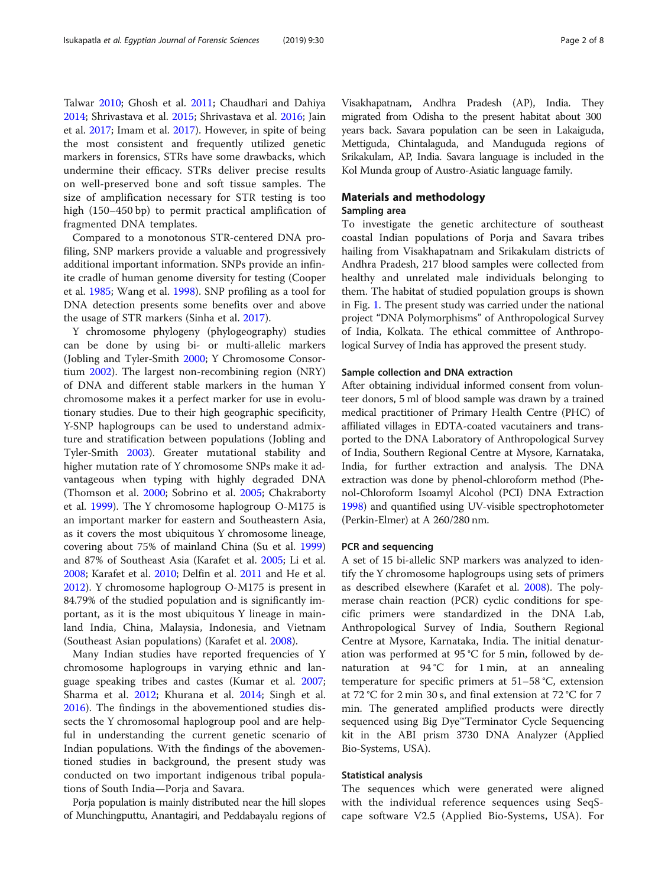Talwar [2010;](#page-6-0) Ghosh et al. [2011;](#page-6-0) Chaudhari and Dahiya [2014](#page-6-0); Shrivastava et al. [2015](#page-6-0); Shrivastava et al. [2016;](#page-6-0) Jain et al. [2017](#page-6-0); Imam et al. [2017](#page-6-0)). However, in spite of being the most consistent and frequently utilized genetic markers in forensics, STRs have some drawbacks, which undermine their efficacy. STRs deliver precise results on well-preserved bone and soft tissue samples. The size of amplification necessary for STR testing is too high (150–450 bp) to permit practical amplification of fragmented DNA templates.

Compared to a monotonous STR-centered DNA profiling, SNP markers provide a valuable and progressively additional important information. SNPs provide an infinite cradle of human genome diversity for testing (Cooper et al. [1985](#page-6-0); Wang et al. [1998](#page-7-0)). SNP profiling as a tool for DNA detection presents some benefits over and above the usage of STR markers (Sinha et al. [2017](#page-6-0)).

Y chromosome phylogeny (phylogeography) studies can be done by using bi- or multi-allelic markers (Jobling and Tyler-Smith [2000](#page-6-0); Y Chromosome Consortium [2002](#page-7-0)). The largest non-recombining region (NRY) of DNA and different stable markers in the human Y chromosome makes it a perfect marker for use in evolutionary studies. Due to their high geographic specificity, Y-SNP haplogroups can be used to understand admixture and stratification between populations (Jobling and Tyler-Smith [2003\)](#page-6-0). Greater mutational stability and higher mutation rate of Y chromosome SNPs make it advantageous when typing with highly degraded DNA (Thomson et al. [2000](#page-7-0); Sobrino et al. [2005;](#page-7-0) Chakraborty et al. [1999\)](#page-6-0). The Y chromosome haplogroup O-M175 is an important marker for eastern and Southeastern Asia, as it covers the most ubiquitous Y chromosome lineage, covering about 75% of mainland China (Su et al. [1999](#page-7-0)) and 87% of Southeast Asia (Karafet et al. [2005;](#page-6-0) Li et al. [2008](#page-6-0); Karafet et al. [2010](#page-6-0); Delfin et al. [2011](#page-6-0) and He et al. [2012](#page-6-0)). Y chromosome haplogroup O-M175 is present in 84.79% of the studied population and is significantly important, as it is the most ubiquitous Y lineage in mainland India, China, Malaysia, Indonesia, and Vietnam (Southeast Asian populations) (Karafet et al. [2008](#page-6-0)).

Many Indian studies have reported frequencies of Y chromosome haplogroups in varying ethnic and language speaking tribes and castes (Kumar et al. [2007](#page-6-0); Sharma et al. [2012](#page-6-0); Khurana et al. [2014](#page-6-0); Singh et al. [2016](#page-6-0)). The findings in the abovementioned studies dissects the Y chromosomal haplogroup pool and are helpful in understanding the current genetic scenario of Indian populations. With the findings of the abovementioned studies in background, the present study was conducted on two important indigenous tribal populations of South India—Porja and Savara.

Porja population is mainly distributed near the hill slopes of Munchingputtu, Anantagiri, and Peddabayalu regions of Visakhapatnam, Andhra Pradesh (AP), India. They migrated from Odisha to the present habitat about 300 years back. Savara population can be seen in Lakaiguda, Mettiguda, Chintalaguda, and Manduguda regions of Srikakulam, AP, India. Savara language is included in the Kol Munda group of Austro-Asiatic language family.

#### Materials and methodology

### Sampling area

To investigate the genetic architecture of southeast coastal Indian populations of Porja and Savara tribes hailing from Visakhapatnam and Srikakulam districts of Andhra Pradesh, 217 blood samples were collected from healthy and unrelated male individuals belonging to them. The habitat of studied population groups is shown in Fig. [1.](#page-2-0) The present study was carried under the national project "DNA Polymorphisms" of Anthropological Survey of India, Kolkata. The ethical committee of Anthropological Survey of India has approved the present study.

#### Sample collection and DNA extraction

After obtaining individual informed consent from volunteer donors, 5 ml of blood sample was drawn by a trained medical practitioner of Primary Health Centre (PHC) of affiliated villages in EDTA-coated vacutainers and transported to the DNA Laboratory of Anthropological Survey of India, Southern Regional Centre at Mysore, Karnataka, India, for further extraction and analysis. The DNA extraction was done by phenol-chloroform method (Phenol-Chloroform Isoamyl Alcohol (PCI) DNA Extraction [1998](#page-6-0)) and quantified using UV-visible spectrophotometer (Perkin-Elmer) at A 260/280 nm.

#### PCR and sequencing

A set of 15 bi-allelic SNP markers was analyzed to identify the Y chromosome haplogroups using sets of primers as described elsewhere (Karafet et al. [2008](#page-6-0)). The polymerase chain reaction (PCR) cyclic conditions for specific primers were standardized in the DNA Lab, Anthropological Survey of India, Southern Regional Centre at Mysore, Karnataka, India. The initial denaturation was performed at 95 °C for 5 min, followed by denaturation at 94 °C for 1 min, at an annealing temperature for specific primers at 51–58 °C, extension at 72 °C for 2 min 30 s, and final extension at 72 °C for 7 min. The generated amplified products were directly sequenced using Big Dye™Terminator Cycle Sequencing kit in the ABI prism 3730 DNA Analyzer (Applied Bio-Systems, USA).

#### Statistical analysis

The sequences which were generated were aligned with the individual reference sequences using SeqScape software V2.5 (Applied Bio-Systems, USA). For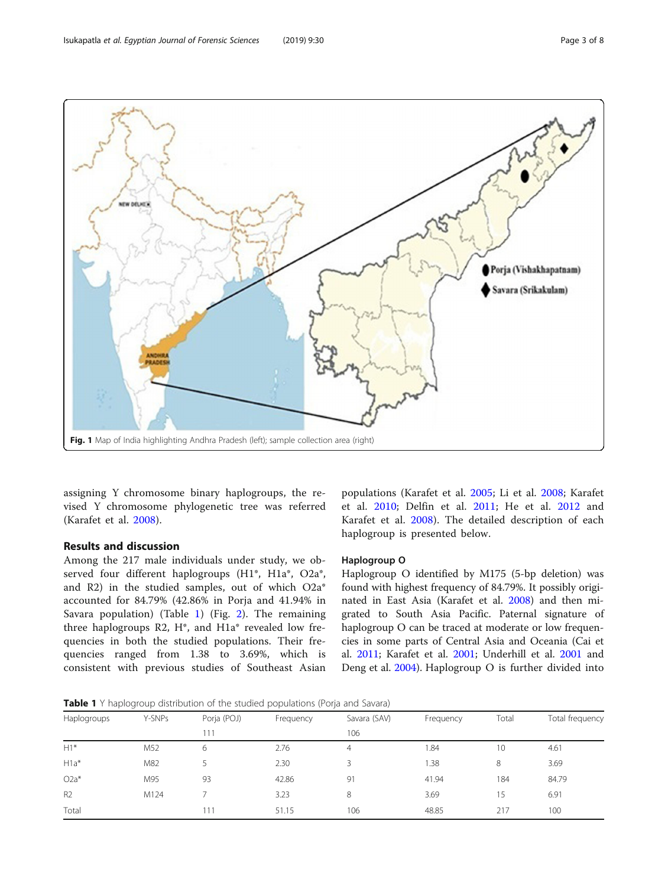<span id="page-2-0"></span>

assigning Y chromosome binary haplogroups, the revised Y chromosome phylogenetic tree was referred (Karafet et al. [2008\)](#page-6-0).

#### Results and discussion

Among the 217 male individuals under study, we observed four different haplogroups (H1\*, H1a\*, O2a\*, and R2) in the studied samples, out of which O2a\* accounted for 84.79% (42.86% in Porja and 41.94% in Savara population) (Table 1) (Fig. [2\)](#page-3-0). The remaining three haplogroups R2, H\*, and H1a\* revealed low frequencies in both the studied populations. Their frequencies ranged from 1.38 to 3.69%, which is consistent with previous studies of Southeast Asian

populations (Karafet et al. [2005](#page-6-0); Li et al. [2008;](#page-6-0) Karafet et al. [2010;](#page-6-0) Delfin et al. [2011](#page-6-0); He et al. [2012](#page-6-0) and Karafet et al. [2008](#page-6-0)). The detailed description of each haplogroup is presented below.

#### Haplogroup O

Haplogroup O identified by M175 (5-bp deletion) was found with highest frequency of 84.79%. It possibly originated in East Asia (Karafet et al. [2008](#page-6-0)) and then migrated to South Asia Pacific. Paternal signature of haplogroup O can be traced at moderate or low frequencies in some parts of Central Asia and Oceania (Cai et al. [2011;](#page-6-0) Karafet et al. [2001;](#page-6-0) Underhill et al. [2001](#page-7-0) and Deng et al. [2004](#page-6-0)). Haplogroup O is further divided into

**Table 1** Y haplogroup distribution of the studied populations (Porja and Savara)

| Haplogroups    | Y-SNPs | Porja (POJ) | Frequency | Savara (SAV) | Frequency | Total | Total frequency |
|----------------|--------|-------------|-----------|--------------|-----------|-------|-----------------|
|                |        | 111         |           | 106          |           |       |                 |
| $H1*$          | M52    | 6           | 2.76      | 4            | 1.84      | 10    | 4.61            |
| $H1a*$         | M82    |             | 2.30      | 3            | .38       | 8     | 3.69            |
| $O2a^*$        | M95    | 93          | 42.86     | 91           | 41.94     | 184   | 84.79           |
| R <sub>2</sub> | M124   |             | 3.23      | 8            | 3.69      | 15    | 6.91            |
| Total          |        | 111         | 51.15     | 106          | 48.85     | 217   | 100             |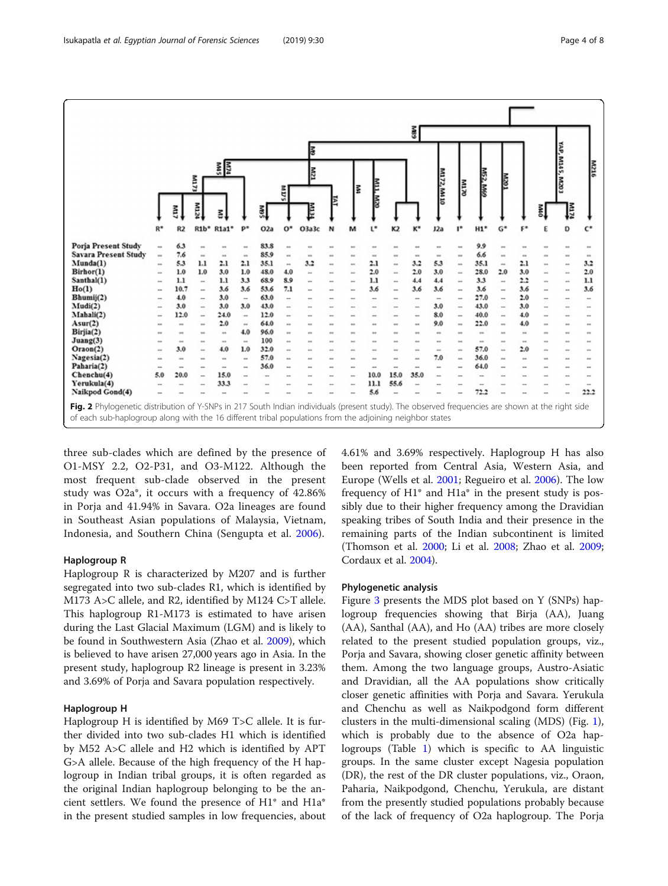<span id="page-3-0"></span>

|                                                                                                                                                                                                                                                              |                |                |                           |                |                          |             |          |              |                 |                           |             |                            | š                        |             |                           |                 |                          |            |             |                  |            |  |
|--------------------------------------------------------------------------------------------------------------------------------------------------------------------------------------------------------------------------------------------------------------|----------------|----------------|---------------------------|----------------|--------------------------|-------------|----------|--------------|-----------------|---------------------------|-------------|----------------------------|--------------------------|-------------|---------------------------|-----------------|--------------------------|------------|-------------|------------------|------------|--|
|                                                                                                                                                                                                                                                              |                |                |                           |                |                          |             |          | lē           |                 |                           |             |                            |                          |             |                           |                 |                          |            |             |                  |            |  |
|                                                                                                                                                                                                                                                              |                |                | mл73                      | <b>REA</b>     |                          |             |          | E            |                 |                           |             |                            |                          |             |                           | M52, M60        | ē                        |            |             | YAP, M145, M203  | <b>MZM</b> |  |
|                                                                                                                                                                                                                                                              |                |                |                           |                |                          |             | E<br>υñ  |              | E               | E                         | WIL.M20     |                            |                          | M172, M4 10 | E                         |                 |                          |            |             |                  |            |  |
|                                                                                                                                                                                                                                                              |                | Em             | ř                         | š              |                          | š.          |          | E            |                 |                           |             |                            |                          |             |                           |                 |                          |            | š.          | Į                |            |  |
|                                                                                                                                                                                                                                                              | $R^*$          | R2             | R1b*                      | R1a1*          | $p*$                     | O2a         | $O*$     | O3a3c        | N               | м                         | r.          | K <sub>2</sub>             | $K^*$                    | J2a         | r                         | H1"             | $G^*$                    | $F^*$      |             | D                | $C^*$      |  |
| Porja Present Study                                                                                                                                                                                                                                          | $\sim$         | 6.3            |                           |                |                          | 83.8        |          |              |                 |                           |             |                            |                          |             |                           | 9.9             |                          |            |             |                  |            |  |
| <b>Savara Present Study</b>                                                                                                                                                                                                                                  | $\sim$         | 7.6            | $\cdots$                  | $\cdots$       |                          | 85.9        |          |              |                 |                           |             |                            |                          | $\cdots$    |                           | 6,6             |                          |            |             |                  |            |  |
| Munda(1)                                                                                                                                                                                                                                                     | $\overline{a}$ | 5.3            | 1.1                       | 2.1            | 2.1                      | 35.1        | $\cdots$ | 3.2          | ×.              | ×.                        | 2.1         | $\cdots$                   | 3.2                      | 5.3         | $\cdots$                  | 35.1            | $\overline{a}$           | 2.1        | $\cdots$    | $\overline{a}$   | 3.2        |  |
| Birhor(1)                                                                                                                                                                                                                                                    | $^{**}$        | 1.0            | 1.0                       | 3.0            | 1.0                      | 48.0        | 4.0      |              |                 | ÷                         | 2.0         | $\cdots$                   | 2.0                      | 3.0         | $\cdots$                  | 28.0            | 2.0                      | 3.0        | $\sim$      |                  | 2.0        |  |
| Santhal(1)                                                                                                                                                                                                                                                   | ×.             | 1.1            | $\overline{a}$            | 1.1            | 3.3                      | 68.9        | 8.9      |              |                 | -                         | 1.1         | -                          | 4.4                      | 4.4         | -                         | 3.3             | $\overline{\phantom{a}}$ | 2.2        |             |                  | 1.1        |  |
| Ho(1)                                                                                                                                                                                                                                                        | -              | 10.7           | $\overline{\phantom{a}}$  | 3.6            | 3.6                      | 53.6        | 7.1      | --           |                 | --                        | 3.6         | -                          | 3.6                      | 3.6         |                           | 3.6             |                          | 3.6        |             | -                | 3.6        |  |
| Bhumij(2)                                                                                                                                                                                                                                                    | -              | 4.0            | -                         | 3.0            | -                        | 63.0        |          |              |                 |                           |             |                            |                          | $\sim$      |                           | 27.0            |                          | 2.0        |             | -                | --         |  |
| Mudi(2)                                                                                                                                                                                                                                                      | -              | 3.0            | $\overline{\phantom{a}}$  | 3.0            | 3.0                      | 43.0        |          |              |                 |                           |             |                            |                          | 3.0         |                           | 43.0            |                          | 3.0        |             | <b>STAR</b>      |            |  |
| Mahali(2)                                                                                                                                                                                                                                                    |                | 12.0           | $\overline{\phantom{a}}$  | 24.0           | $\overline{a}$           | 12.0        |          |              |                 | $\cdots$                  |             | -                          | $\overline{\phantom{a}}$ | 8.0         |                           | 40.0            |                          | 4.0        |             | -                |            |  |
| A <sub>sur</sub> (2)                                                                                                                                                                                                                                         | -              | $\cdots$       | $\overline{a}$            | 2.0            | $\overline{\phantom{a}}$ | 64.0        |          |              |                 | -                         |             | -                          | $\cdots$                 | 9.0         | $\sim$                    | 22.0            | $\overline{a}$           | 4.0        |             |                  | $\cdots$   |  |
| Birjia(2)<br>Juang(3)                                                                                                                                                                                                                                        | $\cdots$       | $\cdots$       | $\sim$                    | $\sim$         | 4.0                      | 96.0<br>100 | $\sim$   | $\cdots$     | <b>ALCOHOL:</b> | $\sim$                    | <b>ALCO</b> | $\sim$                     | <b>SECURITY</b>          | $-$         | <b>START</b>              | $\sim$          | <b>SEA</b>               | $-$        | <b>STAR</b> | $\cdots$         |            |  |
| Oraon(2)                                                                                                                                                                                                                                                     | $\cdots$<br>m. | $^{12}$<br>3.0 | $\sim$<br><b>Security</b> | $^{**}$<br>4.0 | $\overline{a}$<br>1.0    | 32.0        | ××<br>a. | $\cdots$<br> | ×.              | <b>Hill</b><br><b>ALC</b> |             | <b>SHE</b><br><b>SCALE</b> |                          | $^{**}$     | <b>STAR</b><br><b>ALL</b> | $^{**}$<br>57.0 | <b>STA</b><br>m.         | $-$<br>2.0 |             | s.<br><b>ALL</b> |            |  |
| Nagesia(2)                                                                                                                                                                                                                                                   | min.           | $\sim$         | $\sim$                    | m.             | -                        | 57.0        | -        |              |                 | -                         |             | $\sim$                     |                          | $-$<br>7.0  | -                         | 36.0            |                          | $\sim$     |             | si s             |            |  |
| Paharia(2)                                                                                                                                                                                                                                                   | $\cdots$       | $\sim$         |                           | $\overline{a}$ | -                        | 36.0        |          |              |                 |                           | $\sim$      | -                          |                          | $\sim$      |                           | 64.0            |                          |            |             |                  |            |  |
| Chenchu(4)                                                                                                                                                                                                                                                   | 5.0            | 20.0           | $\overline{a}$            | 15.0           |                          | -           |          |              |                 | -                         | 10.0        | 15.0                       | 35.0                     |             |                           | -               |                          |            |             |                  |            |  |
| Yerukula(4)                                                                                                                                                                                                                                                  | $\sim$         | <b>STAR</b>    |                           | 33.3           |                          |             |          |              |                 | -                         | 11.1        | 55.6                       |                          |             |                           |                 |                          |            |             |                  |            |  |
| Naikpod Gond(4)                                                                                                                                                                                                                                              |                |                |                           |                |                          |             |          |              |                 |                           | 5.6         |                            |                          |             |                           | 72.2            |                          |            |             |                  | 22.2       |  |
| Fig. 2 Phylogenetic distribution of Y-SNPs in 217 South Indian individuals (present study). The observed frequencies are shown at the right side<br>of each sub-haplogroup along with the 16 different tribal populations from the adjoining neighbor states |                |                |                           |                |                          |             |          |              |                 |                           |             |                            |                          |             |                           |                 |                          |            |             |                  |            |  |

three sub-clades which are defined by the presence of O1-MSY 2.2, O2-P31, and O3-M122. Although the most frequent sub-clade observed in the present study was O2a\*, it occurs with a frequency of 42.86% in Porja and 41.94% in Savara. O2a lineages are found in Southeast Asian populations of Malaysia, Vietnam, Indonesia, and Southern China (Sengupta et al. [2006\)](#page-6-0).

#### Haplogroup R

Haplogroup R is characterized by M207 and is further segregated into two sub-clades R1, which is identified by M173 A>C allele, and R2, identified by M124 C>T allele. This haplogroup R1-M173 is estimated to have arisen during the Last Glacial Maximum (LGM) and is likely to be found in Southwestern Asia (Zhao et al. [2009\)](#page-7-0), which is believed to have arisen 27,000 years ago in Asia. In the present study, haplogroup R2 lineage is present in 3.23% and 3.69% of Porja and Savara population respectively.

#### Haplogroup H

Haplogroup H is identified by M69 T>C allele. It is further divided into two sub-clades H1 which is identified by M52 A>C allele and H2 which is identified by APT G>A allele. Because of the high frequency of the H haplogroup in Indian tribal groups, it is often regarded as the original Indian haplogroup belonging to be the ancient settlers. We found the presence of H1\* and H1a\* in the present studied samples in low frequencies, about 4.61% and 3.69% respectively. Haplogroup H has also been reported from Central Asia, Western Asia, and Europe (Wells et al. [2001](#page-7-0); Regueiro et al. [2006](#page-6-0)). The low frequency of H1\* and H1a\* in the present study is possibly due to their higher frequency among the Dravidian speaking tribes of South India and their presence in the remaining parts of the Indian subcontinent is limited (Thomson et al. [2000](#page-6-0); Li et al. [2008;](#page-6-0) Zhao et al. [2009](#page-6-0); Cordaux et al. [2004](#page-6-0)).

#### Phylogenetic analysis

Figure [3](#page-4-0) presents the MDS plot based on Y (SNPs) haplogroup frequencies showing that Birja (AA), Juang (AA), Santhal (AA), and Ho (AA) tribes are more closely related to the present studied population groups, viz., Porja and Savara, showing closer genetic affinity between them. Among the two language groups, Austro-Asiatic and Dravidian, all the AA populations show critically closer genetic affinities with Porja and Savara. Yerukula and Chenchu as well as Naikpodgond form different clusters in the multi-dimensional scaling (MDS) (Fig. [1](#page-2-0)), which is probably due to the absence of O2a haplogroups (Table [1\)](#page-2-0) which is specific to AA linguistic groups. In the same cluster except Nagesia population (DR), the rest of the DR cluster populations, viz., Oraon, Paharia, Naikpodgond, Chenchu, Yerukula, are distant from the presently studied populations probably because of the lack of frequency of O2a haplogroup. The Porja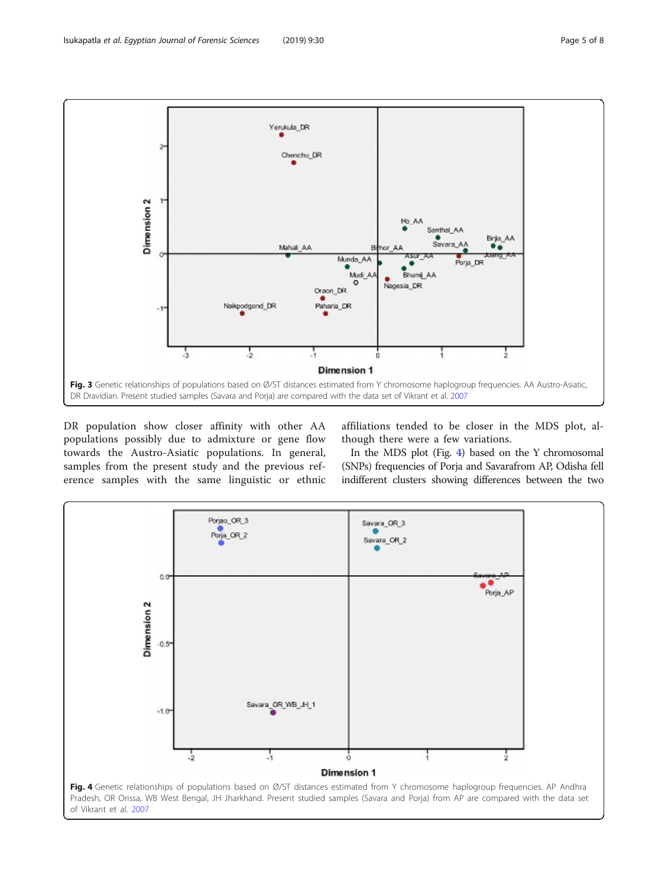<span id="page-4-0"></span>

DR population show closer affinity with other AA populations possibly due to admixture or gene flow towards the Austro-Asiatic populations. In general, samples from the present study and the previous reference samples with the same linguistic or ethnic affiliations tended to be closer in the MDS plot, although there were a few variations.

In the MDS plot (Fig. 4) based on the Y chromosomal (SNPs) frequencies of Porja and Savarafrom AP, Odisha fell indifferent clusters showing differences between the two

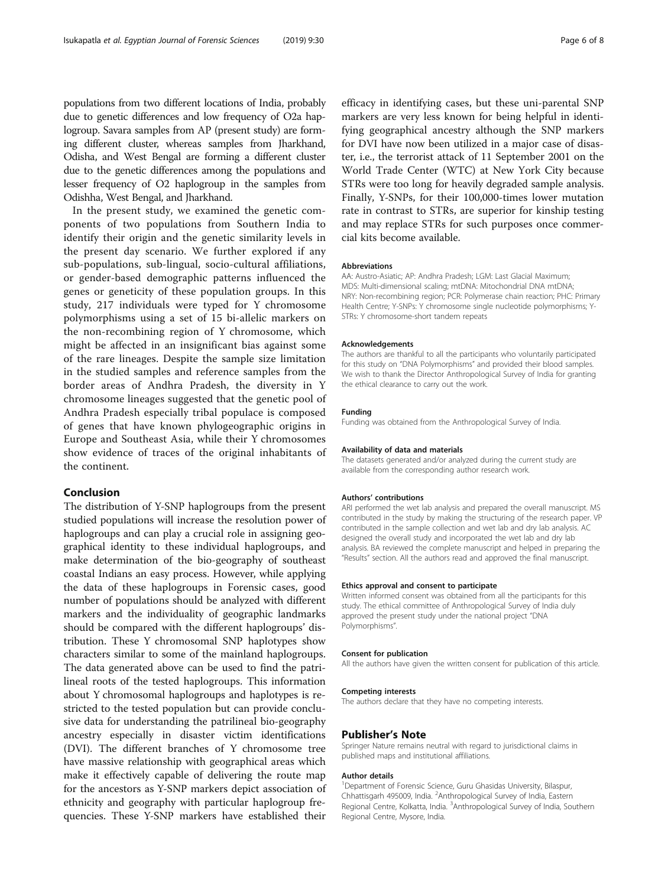populations from two different locations of India, probably due to genetic differences and low frequency of O2a haplogroup. Savara samples from AP (present study) are forming different cluster, whereas samples from Jharkhand, Odisha, and West Bengal are forming a different cluster due to the genetic differences among the populations and lesser frequency of O2 haplogroup in the samples from Odishha, West Bengal, and Jharkhand.

In the present study, we examined the genetic components of two populations from Southern India to identify their origin and the genetic similarity levels in the present day scenario. We further explored if any sub-populations, sub-lingual, socio-cultural affiliations, or gender-based demographic patterns influenced the genes or geneticity of these population groups. In this study, 217 individuals were typed for Y chromosome polymorphisms using a set of 15 bi-allelic markers on the non-recombining region of Y chromosome, which might be affected in an insignificant bias against some of the rare lineages. Despite the sample size limitation in the studied samples and reference samples from the border areas of Andhra Pradesh, the diversity in Y chromosome lineages suggested that the genetic pool of Andhra Pradesh especially tribal populace is composed of genes that have known phylogeographic origins in Europe and Southeast Asia, while their Y chromosomes show evidence of traces of the original inhabitants of the continent.

#### Conclusion

The distribution of Y-SNP haplogroups from the present studied populations will increase the resolution power of haplogroups and can play a crucial role in assigning geographical identity to these individual haplogroups, and make determination of the bio-geography of southeast coastal Indians an easy process. However, while applying the data of these haplogroups in Forensic cases, good number of populations should be analyzed with different markers and the individuality of geographic landmarks should be compared with the different haplogroups' distribution. These Y chromosomal SNP haplotypes show characters similar to some of the mainland haplogroups. The data generated above can be used to find the patrilineal roots of the tested haplogroups. This information about Y chromosomal haplogroups and haplotypes is restricted to the tested population but can provide conclusive data for understanding the patrilineal bio-geography ancestry especially in disaster victim identifications (DVI). The different branches of Y chromosome tree have massive relationship with geographical areas which make it effectively capable of delivering the route map for the ancestors as Y-SNP markers depict association of ethnicity and geography with particular haplogroup frequencies. These Y-SNP markers have established their

efficacy in identifying cases, but these uni-parental SNP markers are very less known for being helpful in identifying geographical ancestry although the SNP markers for DVI have now been utilized in a major case of disaster, i.e., the terrorist attack of 11 September 2001 on the World Trade Center (WTC) at New York City because STRs were too long for heavily degraded sample analysis. Finally, Y-SNPs, for their 100,000-times lower mutation rate in contrast to STRs, are superior for kinship testing and may replace STRs for such purposes once commercial kits become available.

#### Abbreviations

AA: Austro-Asiatic; AP: Andhra Pradesh; LGM: Last Glacial Maximum; MDS: Multi-dimensional scaling; mtDNA: Mitochondrial DNA mtDNA; NRY: Non-recombining region; PCR: Polymerase chain reaction; PHC: Primary Health Centre; Y-SNPs: Y chromosome single nucleotide polymorphisms; Y-STRs: Y chromosome-short tandem repeats

#### Acknowledgements

The authors are thankful to all the participants who voluntarily participated for this study on "DNA Polymorphisms" and provided their blood samples. We wish to thank the Director Anthropological Survey of India for granting the ethical clearance to carry out the work.

#### Funding

Funding was obtained from the Anthropological Survey of India.

#### Availability of data and materials

The datasets generated and/or analyzed during the current study are available from the corresponding author research work.

#### Authors' contributions

ARI performed the wet lab analysis and prepared the overall manuscript. MS contributed in the study by making the structuring of the research paper. VP contributed in the sample collection and wet lab and dry lab analysis. AC designed the overall study and incorporated the wet lab and dry lab analysis. BA reviewed the complete manuscript and helped in preparing the "Results" section. All the authors read and approved the final manuscript.

#### Ethics approval and consent to participate

Written informed consent was obtained from all the participants for this study. The ethical committee of Anthropological Survey of India duly approved the present study under the national project "DNA Polymorphisms".

#### Consent for publication

All the authors have given the written consent for publication of this article.

#### Competing interests

The authors declare that they have no competing interests.

#### Publisher's Note

Springer Nature remains neutral with regard to jurisdictional claims in published maps and institutional affiliations.

#### Author details

<sup>1</sup>Department of Forensic Science, Guru Ghasidas University, Bilaspur, Chhattisgarh 495009, India. <sup>2</sup> Anthropological Survey of India, Eastern Regional Centre, Kolkatta, India. <sup>3</sup>Anthropological Survey of India, Southern Regional Centre, Mysore, India.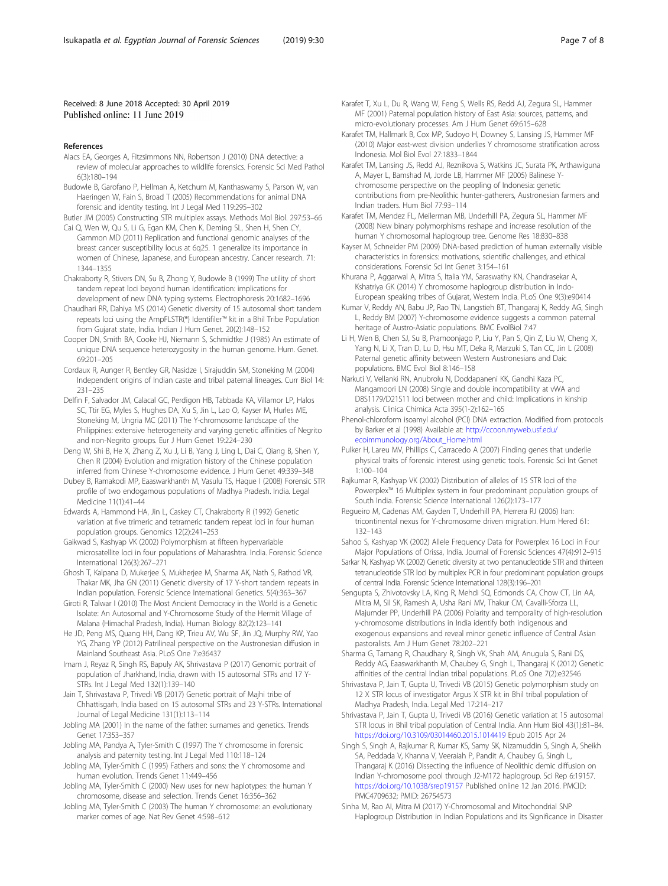#### <span id="page-6-0"></span>Received: 8 June 2018 Accepted: 30 April 2019 Published online: 11 June 2019

#### References

- Alacs EA, Georges A, Fitzsimmons NN, Robertson J (2010) DNA detective: a review of molecular approaches to wildlife forensics. Forensic Sci Med Pathol 6(3):180–194
- Budowle B, Garofano P, Hellman A, Ketchum M, Kanthaswamy S, Parson W, van Haeringen W, Fain S, Broad T (2005) Recommendations for animal DNA forensic and identity testing. Int J Legal Med 119:295–302

Butler JM (2005) Constructing STR multiplex assays. Methods Mol Biol. 297:53–66 Cai Q, Wen W, Qu S, Li G, Egan KM, Chen K, Deming SL, Shen H, Shen CY,

- Gammon MD (2011) Replication and functional genomic analyses of the breast cancer susceptibility locus at 6q25. 1 generalize its importance in women of Chinese, Japanese, and European ancestry. Cancer research. 71: 1344–1355
- Chakraborty R, Stivers DN, Su B, Zhong Y, Budowle B (1999) The utility of short tandem repeat loci beyond human identification: implications for development of new DNA typing systems. Electrophoresis 20:1682–1696
- Chaudhari RR, Dahiya MS (2014) Genetic diversity of 15 autosomal short tandem repeats loci using the AmpFLSTR(®) Identifiler™ kit in a Bhil Tribe Population from Gujarat state, India. Indian J Hum Genet. 20(2):148–152
- Cooper DN, Smith BA, Cooke HJ, Niemann S, Schmidtke J (1985) An estimate of unique DNA sequence heterozygosity in the human genome. Hum. Genet. 69:201–205
- Cordaux R, Aunger R, Bentley GR, Nasidze I, Sirajuddin SM, Stoneking M (2004) Independent origins of Indian caste and tribal paternal lineages. Curr Biol 14: 231–235
- Delfin F, Salvador JM, Calacal GC, Perdigon HB, Tabbada KA, Villamor LP, Halos SC, Ttir EG, Myles S, Hughes DA, Xu S, Jin L, Lao O, Kayser M, Hurles ME, Stoneking M, Ungria MC (2011) The Y-chromosome landscape of the Philippines: extensive heterogeneity and varying genetic affinities of Negrito and non-Negrito groups. Eur J Hum Genet 19:224–230
- Deng W, Shi B, He X, Zhang Z, Xu J, Li B, Yang J, Ling L, Dai C, Qiang B, Shen Y, Chen R (2004) Evolution and migration history of the Chinese population inferred from Chinese Y-chromosome evidence. J Hum Genet 49:339–348
- Dubey B, Ramakodi MP, Eaaswarkhanth M, Vasulu TS, Haque I (2008) Forensic STR profile of two endogamous populations of Madhya Pradesh. India. Legal Medicine 11(1):41–44

Edwards A, Hammond HA, Jin L, Caskey CT, Chakraborty R (1992) Genetic variation at five trimeric and tetrameric tandem repeat loci in four human population groups. Genomics 12(2):241–253

- Gaikwad S, Kashyap VK (2002) Polymorphism at fifteen hypervariable microsatellite loci in four populations of Maharashtra. India. Forensic Science International 126(3):267–271
- Ghosh T, Kalpana D, Mukerjee S, Mukherjee M, Sharma AK, Nath S, Rathod VR, Thakar MK, Jha GN (2011) Genetic diversity of 17 Y-short tandem repeats in Indian population. Forensic Science International Genetics. 5(4):363–367
- Giroti R, Talwar I (2010) The Most Ancient Democracy in the World is a Genetic Isolate: An Autosomal and Y-Chromosome Study of the Hermit Village of Malana (Himachal Pradesh, India). Human Biology 82(2):123–141
- He JD, Peng MS, Quang HH, Dang KP, Trieu AV, Wu SF, Jin JQ, Murphy RW, Yao YG, Zhang YP (2012) Patrilineal perspective on the Austronesian diffusion in Mainland Southeast Asia. PLoS One 7:e36437
- Imam J, Reyaz R, Singh RS, Bapuly AK, Shrivastava P (2017) Genomic portrait of population of Jharkhand, India, drawn with 15 autosomal STRs and 17 Y-STRs. Int J Legal Med 132(1):139–140
- Jain T, Shrivastava P, Trivedi VB (2017) Genetic portrait of Majhi tribe of Chhattisgarh, India based on 15 autosomal STRs and 23 Y-STRs. International Journal of Legal Medicine 131(1):113–114
- Jobling MA (2001) In the name of the father: surnames and genetics. Trends Genet 17:353–357
- Jobling MA, Pandya A, Tyler-Smith C (1997) The Y chromosome in forensic analysis and paternity testing. Int J Legal Med 110:118–124
- Jobling MA, Tyler-Smith C (1995) Fathers and sons: the Y chromosome and human evolution. Trends Genet 11:449–456
- Jobling MA, Tyler-Smith C (2000) New uses for new haplotypes: the human Y chromosome, disease and selection. Trends Genet 16:356–362
- Jobling MA, Tyler-Smith C (2003) The human Y chromosome: an evolutionary marker comes of age. Nat Rev Genet 4:598–612

Karafet T, Xu L, Du R, Wang W, Feng S, Wells RS, Redd AJ, Zegura SL, Hammer MF (2001) Paternal population history of East Asia: sources, patterns, and micro-evolutionary processes. Am J Hum Genet 69:615–628

- Karafet TM, Hallmark B, Cox MP, Sudoyo H, Downey S, Lansing JS, Hammer MF (2010) Major east-west division underlies Y chromosome stratification across Indonesia. Mol Biol Evol 27:1833–1844
- Karafet TM, Lansing JS, Redd AJ, Reznikova S, Watkins JC, Surata PK, Arthawiguna A, Mayer L, Bamshad M, Jorde LB, Hammer MF (2005) Balinese Ychromosome perspective on the peopling of Indonesia: genetic contributions from pre-Neolithic hunter-gatherers, Austronesian farmers and Indian traders. Hum Biol 77:93–114
- Karafet TM, Mendez FL, Meilerman MB, Underhill PA, Zegura SL, Hammer MF (2008) New binary polymorphisms reshape and increase resolution of the human Y chromosomal haplogroup tree. Genome Res 18:830–838
- Kayser M, Schneider PM (2009) DNA-based prediction of human externally visible characteristics in forensics: motivations, scientific challenges, and ethical considerations. Forensic Sci Int Genet 3:154–161
- Khurana P, Aggarwal A, Mitra S, Italia YM, Saraswathy KN, Chandrasekar A, Kshatriya GK (2014) Y chromosome haplogroup distribution in Indo-European speaking tribes of Gujarat, Western India. PLoS One 9(3):e90414
- Kumar V, Reddy AN, Babu JP, Rao TN, Langstieh BT, Thangaraj K, Reddy AG, Singh L, Reddy BM (2007) Y-chromosome evidence suggests a common paternal heritage of Austro-Asiatic populations. BMC EvolBiol 7:47
- Li H, Wen B, Chen SJ, Su B, Pramoonjago P, Liu Y, Pan S, Qin Z, Liu W, Cheng X, Yang N, Li X, Tran D, Lu D, Hsu MT, Deka R, Marzuki S, Tan CC, Jin L (2008) Paternal genetic affinity between Western Austronesians and Daic populations. BMC Evol Biol 8:146–158
- Narkuti V, Vellanki RN, Anubrolu N, Doddapaneni KK, Gandhi Kaza PC, Mangamoori LN (2008) Single and double incompatibility at vWA and D8S1179/D21S11 loci between mother and child: Implications in kinship analysis. Clinica Chimica Acta 395(1-2):162–165
- Phenol-chloroform isoamyl alcohol (PCI) DNA extraction. Modified from protocols by Barker et al (1998) Available at: http://ccoon.myweb.usf.edu/ ecoimmunology.org/About\_Home.html
- Pulker H, Lareu MV, Phillips C, Carracedo A (2007) Finding genes that underlie physical traits of forensic interest using genetic tools. Forensic Sci Int Genet 1:100–104
- Rajkumar R, Kashyap VK (2002) Distribution of alleles of 15 STR loci of the Powerplex™ 16 Multiplex system in four predominant population groups of South India. Forensic Science International 126(2):173–177
- Regueiro M, Cadenas AM, Gayden T, Underhill PA, Herrera RJ (2006) Iran: tricontinental nexus for Y-chromosome driven migration. Hum Hered 61: 132–143
- Sahoo S, Kashyap VK (2002) Allele Frequency Data for Powerplex 16 Loci in Four Major Populations of Orissa, India. Journal of Forensic Sciences 47(4):912–915
- Sarkar N, Kashyap VK (2002) Genetic diversity at two pentanucleotide STR and thirteen tetranucleotide STR loci by multiplex PCR in four predominant population groups of central India. Forensic Science International 128(3):196–201
- Sengupta S, Zhivotovsky LA, King R, Mehdi SQ, Edmonds CA, Chow CT, Lin AA, Mitra M, Sil SK, Ramesh A, Usha Rani MV, Thakur CM, Cavalli-Sforza LL, Majumder PP, Underhill PA (2006) Polarity and temporality of high-resolution y-chromosome distributions in India identify both indigenous and exogenous expansions and reveal minor genetic influence of Central Asian pastoralists. Am J Hum Genet 78:202–221
- Sharma G, Tamang R, Chaudhary R, Singh VK, Shah AM, Anugula S, Rani DS, Reddy AG, Eaaswarkhanth M, Chaubey G, Singh L, Thangaraj K (2012) Genetic affinities of the central Indian tribal populations. PLoS One 7(2):e32546
- Shrivastava P, Jain T, Gupta U, Trivedi VB (2015) Genetic polymorphism study on 12 X STR locus of investigator Argus X STR kit in Bhil tribal population of Madhya Pradesh, India. Legal Med 17:214–217
- Shrivastava P, Jain T, Gupta U, Trivedi VB (2016) Genetic variation at 15 autosomal STR locus in Bhil tribal population of Central India. Ann Hum Biol 43(1):81–84. https://doi.org/10.3109/03014460.2015.1014419 Epub 2015 Apr 24
- Singh S, Singh A, Rajkumar R, Kumar KS, Samy SK, Nizamuddin S, Singh A, Sheikh SA, Peddada V, Khanna V, Veeraiah P, Pandit A, Chaubey G, Singh L, Thangaraj K (2016) Dissecting the influence of Neolithic demic diffusion on Indian Y-chromosome pool through J2-M172 haplogroup. Sci Rep 6:19157. https://doi.org/10.1038/srep19157 Published online 12 Jan 2016. PMCID: PMC4709632; PMID: 26754573
- Sinha M, Rao AI, Mitra M (2017) Y-Chromosomal and Mitochondrial SNP Haplogroup Distribution in Indian Populations and its Significance in Disaster